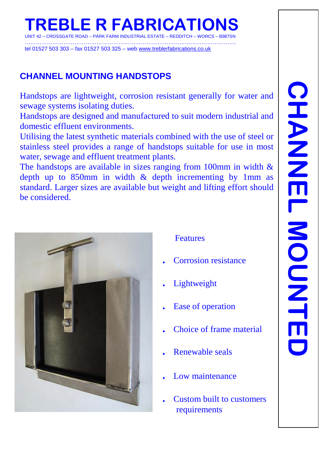# **TREBLE R FABRICATIONS**

CROSSGATE ROAD – PARK FARM INDUSTRIAL ESTATE – REDDITCH

……………………………………………………………………………………………………. tel 01527 503 303 – fax 01527 503 325 – web [www.treblerfabrications.co.uk](http://www.treblerfabrications.co.uk/)

# **CHANNEL MOUNTING HANDSTOPS**

Handstops are lightweight, corrosion resistant generally for water and sewage systems isolating duties.

Handstops are designed and manufactured to suit modern industrial and domestic effluent environments.

Utilising the latest synthetic materials combined with the use of steel or stainless steel provides a range of handstops suitable for use in most water, sewage and effluent treatment plants.

The handstops are available in sizes ranging from 100mm in width  $\&$ depth up to 850mm in width & depth incrementing by 1mm as standard. Larger sizes are available but weight and lifting effort should be considered.



Features

- **.** Corrosion resistance
- **.** Lightweight
- **.** Ease of operation
- **.** Choice of frame material
- **.** Renewable seals
- **.** Low maintenance
- **.** Custom built to customers requirements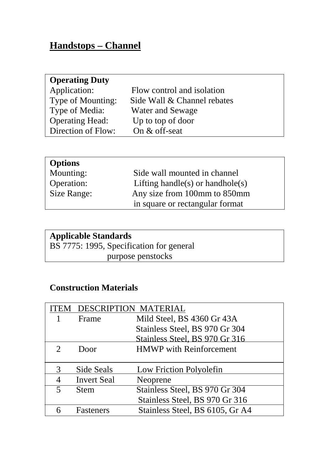# **Handstops – Channel**

| <b>Operating Duty</b> |
|-----------------------|
| Application:          |

| Flow control and isolation  |
|-----------------------------|
| Side Wall & Channel rebates |
| <b>Water and Sewage</b>     |
| Up to top of door           |
| On $&$ off-seat             |
|                             |

| <b>Options</b> |                                  |
|----------------|----------------------------------|
| Mounting:      | Side wall mounted in channel     |
| Operation:     | Lifting handle(s) or handhole(s) |
| Size Range:    | Any size from 100mm to 850mm     |
|                | in square or rectangular format  |

# **Applicable Standards**

BS 7775: 1995, Specification for general purpose penstocks

#### **Construction Materials**

| `EM                         | <b>DESCRIPTION MATERIAL</b> |                                 |
|-----------------------------|-----------------------------|---------------------------------|
|                             | Frame                       | Mild Steel, BS 4360 Gr 43A      |
|                             |                             | Stainless Steel, BS 970 Gr 304  |
|                             |                             | Stainless Steel, BS 970 Gr 316  |
| $\mathcal{D}_{\mathcal{L}}$ | Door                        | <b>HMWP</b> with Reinforcement  |
|                             |                             |                                 |
| 3                           | Side Seals                  | Low Friction Polyolefin         |
| 4                           | <b>Invert Seal</b>          | Neoprene                        |
| 5                           | <b>Stem</b>                 | Stainless Steel, BS 970 Gr 304  |
|                             |                             | Stainless Steel, BS 970 Gr 316  |
|                             | <b>Fasteners</b>            | Stainless Steel, BS 6105, Gr A4 |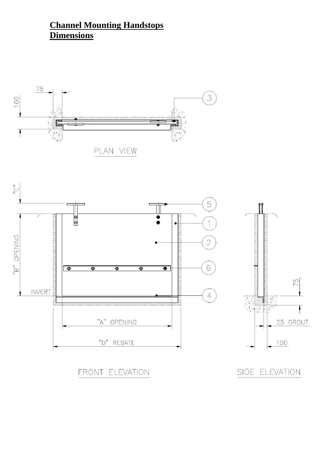# **Channel Mounting Handstops Dimensions**





FRONT ELEVATION

SIDE ELEVATION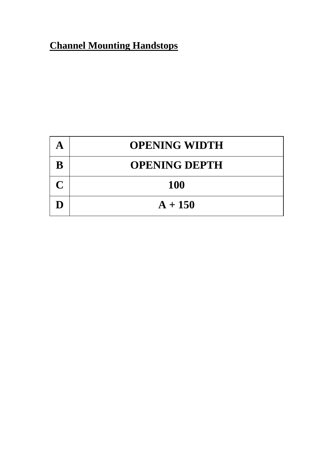# **Channel Mounting Handstops**

|                                | <b>OPENING WIDTH</b> |
|--------------------------------|----------------------|
| B                              | <b>OPENING DEPTH</b> |
| $\boldsymbol{\mathsf{\Gamma}}$ | <b>100</b>           |
|                                | $A + 150$            |